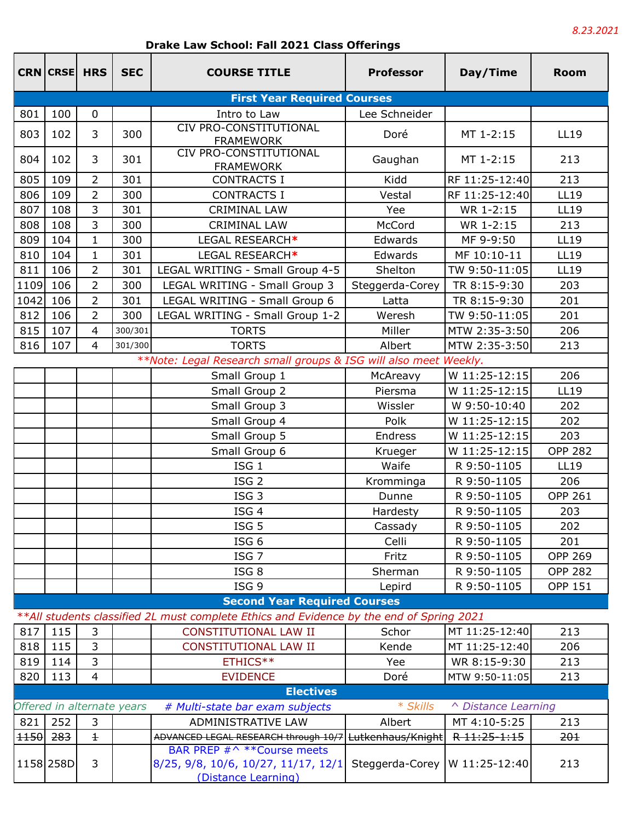## **Drake Law School: Fall 2021 Class Offerings**

|        | <b>CRN CRSE HRS</b> |                          | <b>SEC</b>                 | <b>COURSE TITLE</b>                                                                      | <b>Professor</b> | Day/Time            | <b>Room</b>    |
|--------|---------------------|--------------------------|----------------------------|------------------------------------------------------------------------------------------|------------------|---------------------|----------------|
|        |                     |                          |                            | <b>First Year Required Courses</b>                                                       |                  |                     |                |
| 801    | 100                 | $\mathbf{0}$             |                            | Intro to Law                                                                             | Lee Schneider    |                     |                |
| 803    | 102                 | 3                        | 300                        | CIV PRO-CONSTITUTIONAL<br><b>FRAMEWORK</b>                                               | Doré             | MT 1-2:15           | LL19           |
| 804    | 102                 | 3                        | 301                        | CIV PRO-CONSTITUTIONAL<br><b>FRAMEWORK</b>                                               | Gaughan          | MT 1-2:15           | 213            |
| 805    | 109                 | $\overline{2}$           | 301                        | <b>CONTRACTS I</b>                                                                       | Kidd             | RF 11:25-12:40      | 213            |
| 806    | 109                 | $\overline{2}$           | 300                        | <b>CONTRACTS I</b>                                                                       | Vestal           | RF 11:25-12:40      | <b>LL19</b>    |
| 807    | 108                 | 3                        | 301                        | <b>CRIMINAL LAW</b>                                                                      | Yee              | WR 1-2:15           | <b>LL19</b>    |
| 808    | 108                 | 3                        | 300                        | <b>CRIMINAL LAW</b>                                                                      | McCord           | WR 1-2:15           | 213            |
| 809    | 104                 | $\mathbf{1}$             | 300                        | LEGAL RESEARCH*                                                                          | Edwards          | MF 9-9:50           | <b>LL19</b>    |
| 810    | 104                 | $\mathbf{1}$             | 301                        | LEGAL RESEARCH*                                                                          | Edwards          | MF 10:10-11         | <b>LL19</b>    |
| 811    | 106                 | $\overline{2}$           | 301                        | LEGAL WRITING - Small Group 4-5                                                          | Shelton          | TW 9:50-11:05       | <b>LL19</b>    |
| 1109   | 106                 | $\overline{2}$           | 300                        | LEGAL WRITING - Small Group 3                                                            | Steggerda-Corey  | TR 8:15-9:30        | 203            |
| 1042   | 106                 | $\overline{2}$           | 301                        | LEGAL WRITING - Small Group 6                                                            | Latta            | TR 8:15-9:30        | 201            |
| 812    | 106                 | $\overline{2}$           | 300                        | LEGAL WRITING - Small Group 1-2                                                          | Weresh           | TW 9:50-11:05       | 201            |
| 815    | 107                 | $\overline{4}$           | 300/301                    | <b>TORTS</b>                                                                             | Miller           | MTW 2:35-3:50       | 206            |
| 816    | 107                 | $\overline{4}$           | 301/300                    | <b>TORTS</b>                                                                             | Albert           | MTW 2:35-3:50       | 213            |
|        |                     |                          |                            | **Note: Legal Research small groups & ISG will also meet Weekly.                         |                  |                     |                |
|        |                     |                          |                            | Small Group 1                                                                            | McAreavy         | W 11:25-12:15       | 206            |
|        |                     |                          |                            | Small Group 2                                                                            | Piersma          | W 11:25-12:15       | <b>LL19</b>    |
|        |                     |                          |                            | Small Group 3                                                                            | Wissler          | W 9:50-10:40        | 202            |
|        |                     |                          |                            | Small Group 4                                                                            | Polk             | W 11:25-12:15       | 202            |
|        |                     |                          |                            | Small Group 5                                                                            | Endress          | W 11:25-12:15       | 203            |
|        |                     |                          |                            | Small Group 6                                                                            | Krueger          | W 11:25-12:15       | <b>OPP 282</b> |
|        |                     |                          |                            | ISG <sub>1</sub>                                                                         | Waife            | R 9:50-1105         | <b>LL19</b>    |
|        |                     |                          |                            | ISG <sub>2</sub>                                                                         | Kromminga        | R 9:50-1105         | 206            |
|        |                     |                          |                            | ISG <sub>3</sub>                                                                         | Dunne            | R 9:50-1105         | <b>OPP 261</b> |
|        |                     |                          |                            | ISG <sub>4</sub>                                                                         | Hardesty         | R 9:50-1105         | 203            |
|        |                     |                          |                            | ISG <sub>5</sub>                                                                         | Cassady          | R 9:50-1105         | 202            |
|        |                     |                          |                            | ISG <sub>6</sub>                                                                         | Celli            | R 9:50-1105         | 201            |
|        |                     |                          |                            | ISG <sub>7</sub>                                                                         | Fritz            | R 9:50-1105         | <b>OPP 269</b> |
|        |                     |                          |                            | ISG <sub>8</sub>                                                                         | Sherman          | R 9:50-1105         | <b>OPP 282</b> |
|        |                     |                          |                            | ISG <sub>9</sub>                                                                         | Lepird           | R 9:50-1105         | <b>OPP 151</b> |
|        |                     |                          |                            | <b>Second Year Required Courses</b>                                                      |                  |                     |                |
|        |                     |                          |                            | **All students classified 2L must complete Ethics and Evidence by the end of Spring 2021 |                  |                     |                |
| 817    | 115                 | 3                        |                            | <b>CONSTITUTIONAL LAW II</b>                                                             | Schor            | MT 11:25-12:40      | 213            |
| 818    | 115                 | 3                        |                            | <b>CONSTITUTIONAL LAW II</b>                                                             | Kende            | MT 11:25-12:40      | 206            |
| 819    | 114                 | 3                        |                            | ETHICS**                                                                                 | Yee              | WR 8:15-9:30        | 213            |
| 820    | 113                 | $\overline{\mathcal{A}}$ |                            | <b>EVIDENCE</b>                                                                          | Doré             | MTW 9:50-11:05      | 213            |
|        |                     |                          |                            | <b>Electives</b>                                                                         |                  |                     |                |
|        |                     |                          | Offered in alternate years | # Multi-state bar exam subjects                                                          | * Skills         | ^ Distance Learning |                |
| 821    | 252                 | 3                        |                            | ADMINISTRATIVE LAW                                                                       | Albert           | MT 4:10-5:25        | 213            |
| $+150$ | 283                 | $\pm$                    |                            | ADVANCED LEGAL RESEARCH through 10/7 Lutkenhaus/Knight                                   |                  | R 11:25-1:15        | 201            |
|        |                     |                          |                            | BAR PREP #^ ** Course meets                                                              |                  |                     |                |
|        | 1158 258D           | 3                        |                            | 8/25, 9/8, 10/6, 10/27, 11/17, 12/1<br>(Distance Learning)                               | Steggerda-Corey  | W 11:25-12:40       | 213            |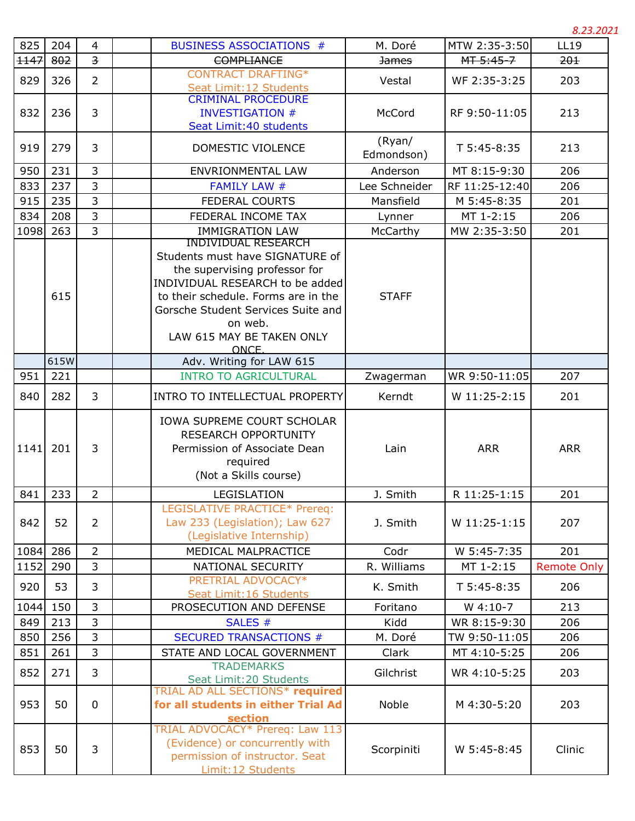*8.23.2021*

| 825  | 204  | 4                       | <b>BUSINESS ASSOCIATIONS #</b>                                                                                                                                                                                                          | M. Doré              | MTW 2:35-3:50  | <b>LL19</b>        |
|------|------|-------------------------|-----------------------------------------------------------------------------------------------------------------------------------------------------------------------------------------------------------------------------------------|----------------------|----------------|--------------------|
| 1147 | 802  | $\overline{\mathbf{3}}$ | <b>COMPLIANCE</b>                                                                                                                                                                                                                       | <b>James</b>         | MT 5:45-7      | 201                |
| 829  | 326  | $\overline{2}$          | <b>CONTRACT DRAFTING*</b><br>Seat Limit: 12 Students                                                                                                                                                                                    | Vestal               | WF 2:35-3:25   | 203                |
| 832  | 236  | 3                       | <b>CRIMINAL PROCEDURE</b><br><b>INVESTIGATION #</b><br>Seat Limit: 40 students                                                                                                                                                          | McCord               | RF 9:50-11:05  | 213                |
| 919  | 279  | 3                       | DOMESTIC VIOLENCE                                                                                                                                                                                                                       | (Ryan/<br>Edmondson) | T 5:45-8:35    | 213                |
| 950  | 231  | 3                       | ENVRIONMENTAL LAW                                                                                                                                                                                                                       | Anderson             | MT 8:15-9:30   | 206                |
| 833  | 237  | 3                       | <b>FAMILY LAW #</b>                                                                                                                                                                                                                     | Lee Schneider        | RF 11:25-12:40 | 206                |
| 915  | 235  | 3                       | <b>FEDERAL COURTS</b>                                                                                                                                                                                                                   | Mansfield            | M 5:45-8:35    | 201                |
| 834  | 208  | 3                       | FEDERAL INCOME TAX                                                                                                                                                                                                                      | Lynner               | MT 1-2:15      | 206                |
| 1098 | 263  | $\overline{3}$          | <b>IMMIGRATION LAW</b><br><b>INDIVIDUAL RESEARCH</b>                                                                                                                                                                                    | McCarthy             | MW 2:35-3:50   | 201                |
|      | 615  |                         | Students must have SIGNATURE of<br>the supervising professor for<br>INDIVIDUAL RESEARCH to be added<br>to their schedule. Forms are in the<br>Gorsche Student Services Suite and<br>on web.<br>LAW 615 MAY BE TAKEN ONLY<br><b>ONCE</b> | <b>STAFF</b>         |                |                    |
|      | 615W |                         | Adv. Writing for LAW 615                                                                                                                                                                                                                |                      |                |                    |
| 951  | 221  |                         | <b>INTRO TO AGRICULTURAL</b>                                                                                                                                                                                                            | Zwagerman            | WR 9:50-11:05  | 207                |
| 840  | 282  | 3                       | INTRO TO INTELLECTUAL PROPERTY                                                                                                                                                                                                          | Kerndt               | W 11:25-2:15   | 201                |
| 1141 | 201  | 3                       | IOWA SUPREME COURT SCHOLAR<br><b>RESEARCH OPPORTUNITY</b><br>Permission of Associate Dean<br>required<br>(Not a Skills course)                                                                                                          | Lain                 | <b>ARR</b>     | <b>ARR</b>         |
| 841  | 233  | $\overline{2}$          | LEGISLATION                                                                                                                                                                                                                             | J. Smith             | R 11:25-1:15   | 201                |
| 842  | 52   | $\overline{2}$          | LEGISLATIVE PRACTICE* Prereq:<br>Law 233 (Legislation); Law 627<br>(Legislative Internship)                                                                                                                                             | J. Smith             | W 11:25-1:15   | 207                |
| 1084 | 286  | $\overline{2}$          | MEDICAL MALPRACTICE                                                                                                                                                                                                                     | Codr                 | W 5:45-7:35    | 201                |
| 1152 | 290  | 3                       | NATIONAL SECURITY                                                                                                                                                                                                                       | R. Williams          | MT 1-2:15      | <b>Remote Only</b> |
| 920  | 53   | 3                       | PRETRIAL ADVOCACY*<br>Seat Limit: 16 Students                                                                                                                                                                                           | K. Smith             | $T 5:45-8:35$  | 206                |
| 1044 | 150  | 3                       | PROSECUTION AND DEFENSE                                                                                                                                                                                                                 | Foritano             | $W$ 4:10-7     | 213                |
| 849  | 213  | 3                       | SALES #                                                                                                                                                                                                                                 | Kidd                 | WR 8:15-9:30   | 206                |
| 850  | 256  | 3                       | <b>SECURED TRANSACTIONS #</b>                                                                                                                                                                                                           | M. Doré              | TW 9:50-11:05  | 206                |
| 851  | 261  | 3                       | STATE AND LOCAL GOVERNMENT                                                                                                                                                                                                              | Clark                | MT 4:10-5:25   | 206                |
| 852  | 271  | 3                       | <b>TRADEMARKS</b><br>Seat Limit: 20 Students                                                                                                                                                                                            | Gilchrist            | WR 4:10-5:25   | 203                |
| 953  | 50   | 0                       | TRIAL AD ALL SECTIONS* required<br>for all students in either Trial Ad<br>section                                                                                                                                                       | Noble                | M 4:30-5:20    | 203                |
| 853  | 50   | 3                       | TRIAL ADVOCACY* Prereq: Law 113<br>(Evidence) or concurrently with<br>permission of instructor. Seat<br>Limit: 12 Students                                                                                                              | Scorpiniti           | W 5:45-8:45    | Clinic             |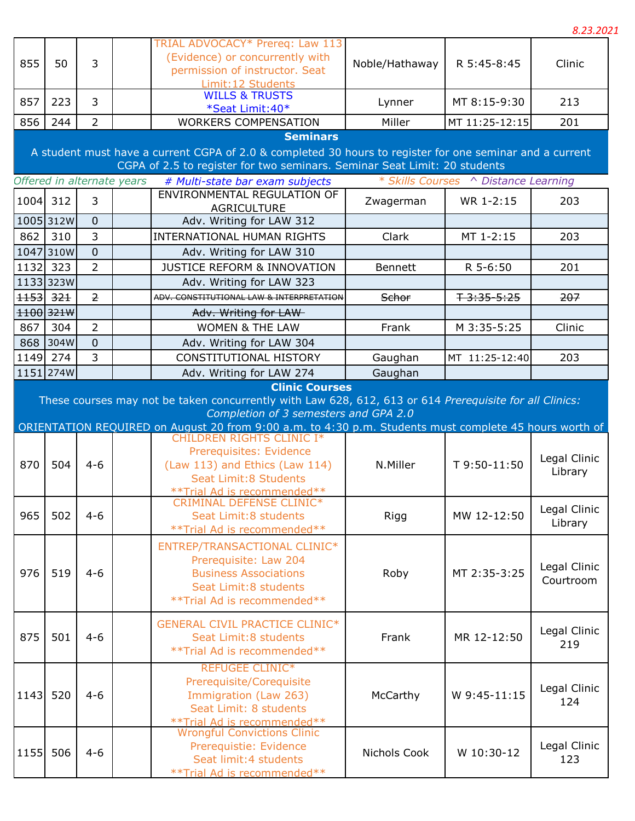|      |                                                                                                                                                                                                          |                                  |                            |                                                                                                                                                                                     |                |                                      | 8.23.2021                 |  |  |
|------|----------------------------------------------------------------------------------------------------------------------------------------------------------------------------------------------------------|----------------------------------|----------------------------|-------------------------------------------------------------------------------------------------------------------------------------------------------------------------------------|----------------|--------------------------------------|---------------------------|--|--|
| 855  | 50                                                                                                                                                                                                       | 3                                |                            | TRIAL ADVOCACY* Prereq: Law 113<br>(Evidence) or concurrently with<br>permission of instructor. Seat<br>Limit: 12 Students                                                          | Noble/Hathaway | R 5:45-8:45                          | Clinic                    |  |  |
| 857  | 223                                                                                                                                                                                                      | $\overline{3}$                   |                            | <b>WILLS &amp; TRUSTS</b><br>*Seat Limit: 40*                                                                                                                                       | Lynner         | MT 8:15-9:30                         | 213                       |  |  |
| 856  | 244                                                                                                                                                                                                      | $\overline{2}$                   |                            | <b>WORKERS COMPENSATION</b>                                                                                                                                                         | Miller         | MT 11:25-12:15                       | 201                       |  |  |
|      | <b>Seminars</b><br>A student must have a current CGPA of 2.0 & completed 30 hours to register for one seminar and a current<br>CGPA of 2.5 to register for two seminars. Seminar Seat Limit: 20 students |                                  |                            |                                                                                                                                                                                     |                |                                      |                           |  |  |
|      |                                                                                                                                                                                                          |                                  | Offered in alternate years | # Multi-state bar exam subjects                                                                                                                                                     |                | * Skills Courses ^ Distance Learning |                           |  |  |
|      | 1004 312                                                                                                                                                                                                 | $\overline{3}$                   |                            | ENVIRONMENTAL REGULATION OF<br><b>AGRICULTURE</b>                                                                                                                                   | Zwagerman      | WR 1-2:15                            | 203                       |  |  |
| 862  | 1005 312W<br>310                                                                                                                                                                                         | $\overline{0}$<br>3              |                            | Adv. Writing for LAW 312<br><b>INTERNATIONAL HUMAN RIGHTS</b>                                                                                                                       | Clark          | MT 1-2:15                            | 203                       |  |  |
|      |                                                                                                                                                                                                          |                                  |                            |                                                                                                                                                                                     |                |                                      |                           |  |  |
|      | 1047 310W<br>1132 323                                                                                                                                                                                    | $\overline{0}$<br>$\overline{2}$ |                            | Adv. Writing for LAW 310<br><b>JUSTICE REFORM &amp; INNOVATION</b>                                                                                                                  | <b>Bennett</b> | R 5-6:50                             | 201                       |  |  |
|      | 1133 323W                                                                                                                                                                                                |                                  |                            | Adv. Writing for LAW 323                                                                                                                                                            |                |                                      |                           |  |  |
|      | <del>1153</del> 321                                                                                                                                                                                      | $\overline{2}$                   |                            | ADV. CONSTITUTIONAL LAW & INTERPRETATION                                                                                                                                            | Schor          | $7 - 3:35 - 5:25$                    | 207                       |  |  |
|      | 1100 321W                                                                                                                                                                                                |                                  |                            | Adv. Writing for LAW-                                                                                                                                                               |                |                                      |                           |  |  |
| 867  | 304                                                                                                                                                                                                      | $\overline{2}$                   |                            | <b>WOMEN &amp; THE LAW</b>                                                                                                                                                          | Frank          | M 3:35-5:25                          | Clinic                    |  |  |
|      | 868 304W                                                                                                                                                                                                 | $\mathbf{0}$                     |                            | Adv. Writing for LAW 304                                                                                                                                                            |                |                                      |                           |  |  |
|      | 1149 274                                                                                                                                                                                                 | 3                                |                            | CONSTITUTIONAL HISTORY                                                                                                                                                              | Gaughan        | MT 11:25-12:40                       | 203                       |  |  |
|      | 1151 274W                                                                                                                                                                                                |                                  |                            | Adv. Writing for LAW 274                                                                                                                                                            | Gaughan        |                                      |                           |  |  |
|      |                                                                                                                                                                                                          |                                  |                            | Completion of 3 semesters and GPA 2.0<br>ORIENTATION REQUIRED on August 20 from 9:00 a.m. to 4:30 p.m. Students must complete 45 hours worth of<br><b>CHILDREN RIGHTS CLINIC I*</b> |                |                                      |                           |  |  |
| 870  | 504                                                                                                                                                                                                      | $4 - 6$                          |                            | Prerequisites: Evidence<br>(Law 113) and Ethics (Law 114)<br>Seat Limit: 8 Students<br>** Trial Ad is recommended**                                                                 | N.Miller       | T 9:50-11:50                         | Legal Clinic<br>Library   |  |  |
| 965  | 502                                                                                                                                                                                                      | $4 - 6$                          |                            | <b>CRIMINAL DEFENSE CLINIC*</b><br>Seat Limit: 8 students<br>** Trial Ad is recommended**                                                                                           | Rigg           | MW 12-12:50                          | Legal Clinic<br>Library   |  |  |
| 976  | 519                                                                                                                                                                                                      | $4 - 6$                          |                            | ENTREP/TRANSACTIONAL CLINIC*<br>Prerequisite: Law 204<br><b>Business Associations</b><br>Seat Limit: 8 students<br>** Trial Ad is recommended**                                     | Roby           | MT 2:35-3:25                         | Legal Clinic<br>Courtroom |  |  |
| 875  | 501                                                                                                                                                                                                      | $4 - 6$                          |                            | <b>GENERAL CIVIL PRACTICE CLINIC*</b><br>Seat Limit: 8 students<br>** Trial Ad is recommended**                                                                                     | Frank          | MR 12-12:50                          | Legal Clinic<br>219       |  |  |
| 1143 | 520                                                                                                                                                                                                      | $4 - 6$                          |                            | <b>REFUGEE CLINIC*</b><br>Prerequisite/Corequisite<br>Immigration (Law 263)<br>Seat Limit: 8 students                                                                               | McCarthy       | W 9:45-11:15                         | Legal Clinic<br>124       |  |  |
| 1155 | 506                                                                                                                                                                                                      | $4 - 6$                          |                            | **Trial Ad is recommended**<br>Wrongful Convictions Clinic<br>Prerequistie: Evidence<br>Seat limit: 4 students<br>** Trial Ad is recommended**                                      | Nichols Cook   | W 10:30-12                           | Legal Clinic<br>123       |  |  |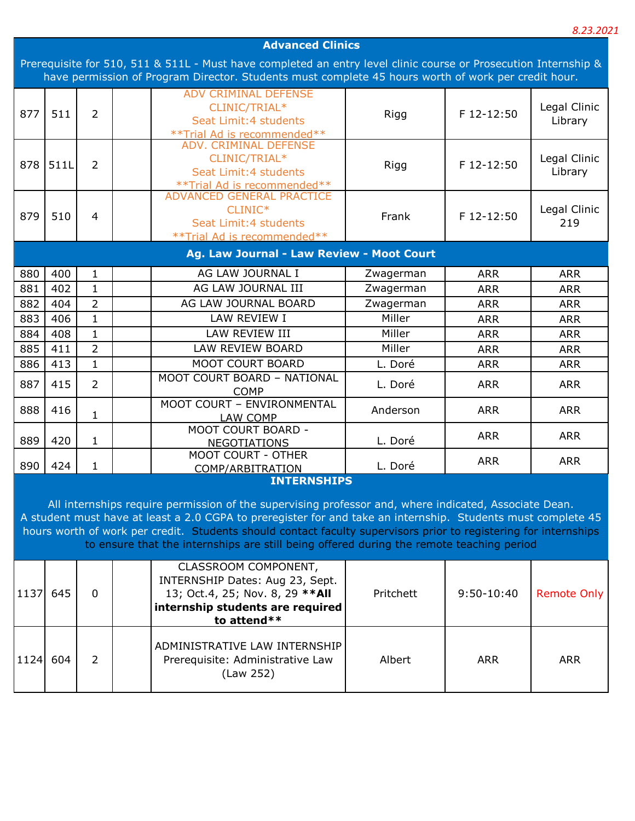|      |                                                                                                                 |                |  |                                                                                                                                                                                                              |           |              | 8.23.2021          |  |
|------|-----------------------------------------------------------------------------------------------------------------|----------------|--|--------------------------------------------------------------------------------------------------------------------------------------------------------------------------------------------------------------|-----------|--------------|--------------------|--|
|      | <b>Advanced Clinics</b>                                                                                         |                |  |                                                                                                                                                                                                              |           |              |                    |  |
|      | Prerequisite for 510, 511 & 511L - Must have completed an entry level clinic course or Prosecution Internship & |                |  |                                                                                                                                                                                                              |           |              |                    |  |
|      |                                                                                                                 |                |  | have permission of Program Director. Students must complete 45 hours worth of work per credit hour.                                                                                                          |           |              |                    |  |
|      |                                                                                                                 |                |  | <b>ADV CRIMINAL DEFENSE</b>                                                                                                                                                                                  |           |              |                    |  |
| 877  | 511                                                                                                             | $\overline{2}$ |  | CLINIC/TRIAL*                                                                                                                                                                                                | Rigg      | F 12-12:50   | Legal Clinic       |  |
|      |                                                                                                                 |                |  | Seat Limit: 4 students                                                                                                                                                                                       |           |              | Library            |  |
|      |                                                                                                                 |                |  | ** Trial Ad is recommended**<br><b>ADV. CRIMINAL DEFENSE</b>                                                                                                                                                 |           |              |                    |  |
|      |                                                                                                                 |                |  | CLINIC/TRIAL*                                                                                                                                                                                                |           |              | Legal Clinic       |  |
| 878  | 511L                                                                                                            | $\overline{2}$ |  | Seat Limit: 4 students                                                                                                                                                                                       | Rigg      | F 12-12:50   | Library            |  |
|      |                                                                                                                 |                |  |                                                                                                                                                                                                              |           |              |                    |  |
|      |                                                                                                                 |                |  | **Trial Ad is recommended**<br>ADVANCED GENERAL PRACTICE                                                                                                                                                     |           |              |                    |  |
| 879  | 510                                                                                                             | 4              |  | CLINIC*                                                                                                                                                                                                      | Frank     | F 12-12:50   | Legal Clinic       |  |
|      |                                                                                                                 |                |  | Seat Limit: 4 students                                                                                                                                                                                       |           |              | 219                |  |
|      |                                                                                                                 |                |  | ** Trial Ad is recommended**                                                                                                                                                                                 |           |              |                    |  |
|      |                                                                                                                 |                |  | Ag. Law Journal - Law Review - Moot Court                                                                                                                                                                    |           |              |                    |  |
| 880  | 400                                                                                                             | 1              |  | AG LAW JOURNAL I                                                                                                                                                                                             | Zwagerman | <b>ARR</b>   | <b>ARR</b>         |  |
| 881  | 402                                                                                                             | $\mathbf{1}$   |  | AG LAW JOURNAL III                                                                                                                                                                                           | Zwagerman | <b>ARR</b>   | <b>ARR</b>         |  |
| 882  | 404                                                                                                             | $\overline{2}$ |  | AG LAW JOURNAL BOARD                                                                                                                                                                                         | Zwagerman | <b>ARR</b>   | <b>ARR</b>         |  |
| 883  | 406                                                                                                             | $\mathbf{1}$   |  | LAW REVIEW I                                                                                                                                                                                                 | Miller    | <b>ARR</b>   | <b>ARR</b>         |  |
| 884  | 408                                                                                                             | $\mathbf{1}$   |  | LAW REVIEW III                                                                                                                                                                                               | Miller    | <b>ARR</b>   | <b>ARR</b>         |  |
| 885  | 411                                                                                                             | $\overline{2}$ |  | LAW REVIEW BOARD                                                                                                                                                                                             | Miller    | <b>ARR</b>   | <b>ARR</b>         |  |
| 886  | 413                                                                                                             | $\mathbf{1}$   |  | MOOT COURT BOARD                                                                                                                                                                                             | L. Doré   | <b>ARR</b>   | <b>ARR</b>         |  |
|      |                                                                                                                 | $\overline{2}$ |  | MOOT COURT BOARD - NATIONAL                                                                                                                                                                                  |           |              |                    |  |
| 887  | 415                                                                                                             |                |  | <b>COMP</b>                                                                                                                                                                                                  | L. Doré   | <b>ARR</b>   | <b>ARR</b>         |  |
| 888  | 416                                                                                                             |                |  | MOOT COURT - ENVIRONMENTAL                                                                                                                                                                                   | Anderson  | <b>ARR</b>   | <b>ARR</b>         |  |
|      |                                                                                                                 | $\mathbf{1}$   |  | LAW COMP                                                                                                                                                                                                     |           |              |                    |  |
| 889  | 420                                                                                                             | $\mathbf{1}$   |  | MOOT COURT BOARD -                                                                                                                                                                                           | L. Doré   | <b>ARR</b>   | <b>ARR</b>         |  |
|      |                                                                                                                 |                |  | <b>NEGOTIATIONS</b><br>MOOT COURT - OTHER                                                                                                                                                                    |           |              |                    |  |
| 890  | 424                                                                                                             | $\mathbf{1}$   |  | COMP/ARBITRATION                                                                                                                                                                                             | L. Doré   | <b>ARR</b>   | <b>ARR</b>         |  |
|      |                                                                                                                 |                |  | <b>INTERNSHIPS</b>                                                                                                                                                                                           |           |              |                    |  |
|      |                                                                                                                 |                |  |                                                                                                                                                                                                              |           |              |                    |  |
|      |                                                                                                                 |                |  | All internships require permission of the supervising professor and, where indicated, Associate Dean.                                                                                                        |           |              |                    |  |
|      |                                                                                                                 |                |  | A student must have at least a 2.0 CGPA to preregister for and take an internship. Students must complete 45                                                                                                 |           |              |                    |  |
|      |                                                                                                                 |                |  | hours worth of work per credit. Students should contact faculty supervisors prior to registering for internships<br>to ensure that the internships are still being offered during the remote teaching period |           |              |                    |  |
|      |                                                                                                                 |                |  |                                                                                                                                                                                                              |           |              |                    |  |
|      |                                                                                                                 |                |  | CLASSROOM COMPONENT,                                                                                                                                                                                         |           |              |                    |  |
|      |                                                                                                                 |                |  | INTERNSHIP Dates: Aug 23, Sept.                                                                                                                                                                              |           |              |                    |  |
| 1137 | 645                                                                                                             | $\Omega$       |  | 13; Oct.4, 25; Nov. 8, 29 ** All                                                                                                                                                                             | Pritchett | $9:50-10:40$ | <b>Remote Only</b> |  |
|      |                                                                                                                 |                |  | internship students are required                                                                                                                                                                             |           |              |                    |  |
|      |                                                                                                                 |                |  | to attend**                                                                                                                                                                                                  |           |              |                    |  |
|      |                                                                                                                 |                |  | ADMINISTRATIVE LAW INTERNSHIP                                                                                                                                                                                |           |              |                    |  |
| 1124 | 604                                                                                                             | $\overline{2}$ |  | Prerequisite: Administrative Law                                                                                                                                                                             | Albert    | <b>ARR</b>   | <b>ARR</b>         |  |
|      |                                                                                                                 |                |  | (Law 252)                                                                                                                                                                                                    |           |              |                    |  |
|      |                                                                                                                 |                |  |                                                                                                                                                                                                              |           |              |                    |  |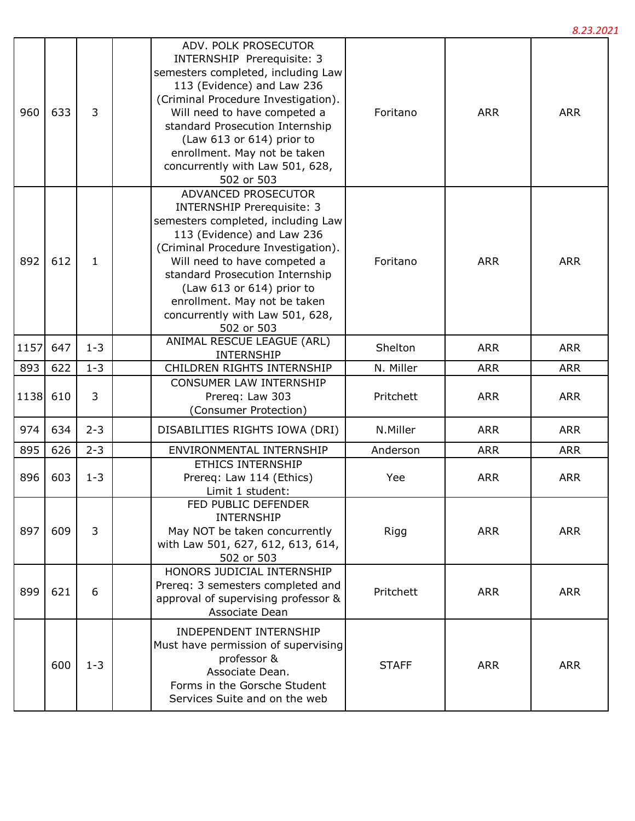|      |     |         |                                                                                                                                                                                                                                                                                                                                                       |              |            | 8.23.2021  |
|------|-----|---------|-------------------------------------------------------------------------------------------------------------------------------------------------------------------------------------------------------------------------------------------------------------------------------------------------------------------------------------------------------|--------------|------------|------------|
| 960  | 633 | 3       | ADV. POLK PROSECUTOR<br><b>INTERNSHIP Prerequisite: 3</b><br>semesters completed, including Law<br>113 (Evidence) and Law 236<br>(Criminal Procedure Investigation).<br>Will need to have competed a<br>standard Prosecution Internship<br>(Law 613 or 614) prior to<br>enrollment. May not be taken<br>concurrently with Law 501, 628,<br>502 or 503 | Foritano     | <b>ARR</b> | <b>ARR</b> |
| 892  | 612 | 1       | ADVANCED PROSECUTOR<br><b>INTERNSHIP Prerequisite: 3</b><br>semesters completed, including Law<br>113 (Evidence) and Law 236<br>(Criminal Procedure Investigation).<br>Will need to have competed a<br>standard Prosecution Internship<br>(Law 613 or 614) prior to<br>enrollment. May not be taken<br>concurrently with Law 501, 628,<br>502 or 503  | Foritano     | <b>ARR</b> | <b>ARR</b> |
| 1157 | 647 | $1 - 3$ | <b>ANIMAL RESCUE LEAGUE (ARL)</b><br><b>INTERNSHIP</b>                                                                                                                                                                                                                                                                                                | Shelton      | <b>ARR</b> | <b>ARR</b> |
| 893  | 622 | $1 - 3$ | CHILDREN RIGHTS INTERNSHIP                                                                                                                                                                                                                                                                                                                            | N. Miller    | <b>ARR</b> | <b>ARR</b> |
| 1138 | 610 | 3       | CONSUMER LAW INTERNSHIP<br>Prereq: Law 303<br>(Consumer Protection)                                                                                                                                                                                                                                                                                   | Pritchett    | <b>ARR</b> | <b>ARR</b> |
| 974  | 634 | $2 - 3$ | DISABILITIES RIGHTS IOWA (DRI)                                                                                                                                                                                                                                                                                                                        | N.Miller     | <b>ARR</b> | <b>ARR</b> |
| 895  | 626 | $2 - 3$ | ENVIRONMENTAL INTERNSHIP                                                                                                                                                                                                                                                                                                                              | Anderson     | <b>ARR</b> | <b>ARR</b> |
| 896  | 603 | $1 - 3$ | ETHICS INTERNSHIP<br>Prereq: Law 114 (Ethics)<br>Limit 1 student:                                                                                                                                                                                                                                                                                     | Yee          | <b>ARR</b> | <b>ARR</b> |
| 897  | 609 | 3       | FED PUBLIC DEFENDER<br><b>INTERNSHIP</b><br>May NOT be taken concurrently<br>with Law 501, 627, 612, 613, 614,<br>502 or 503                                                                                                                                                                                                                          | Rigg         | <b>ARR</b> | <b>ARR</b> |
| 899  | 621 | 6       | HONORS JUDICIAL INTERNSHIP<br>Prereq: 3 semesters completed and<br>approval of supervising professor &<br>Associate Dean                                                                                                                                                                                                                              | Pritchett    | <b>ARR</b> | <b>ARR</b> |
|      | 600 | $1 - 3$ | INDEPENDENT INTERNSHIP<br>Must have permission of supervising<br>professor &<br>Associate Dean.<br>Forms in the Gorsche Student<br>Services Suite and on the web                                                                                                                                                                                      | <b>STAFF</b> | <b>ARR</b> | <b>ARR</b> |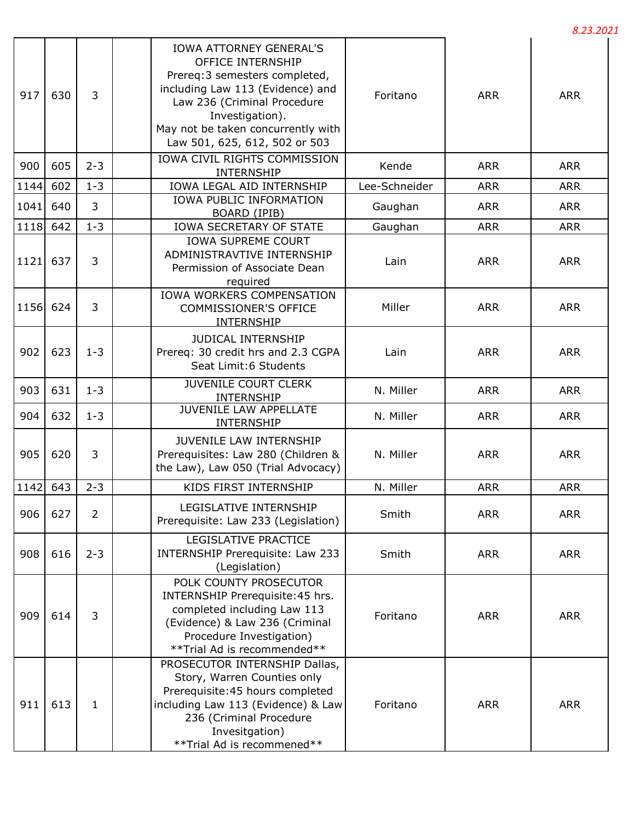|      |                   |                |                                                                                                                                                                                                                                                    |               |            | 8.23.2021  |
|------|-------------------|----------------|----------------------------------------------------------------------------------------------------------------------------------------------------------------------------------------------------------------------------------------------------|---------------|------------|------------|
| 917  | 630               | 3              | <b>IOWA ATTORNEY GENERAL'S</b><br>OFFICE INTERNSHIP<br>Prereq: 3 semesters completed,<br>including Law 113 (Evidence) and<br>Law 236 (Criminal Procedure<br>Investigation).<br>May not be taken concurrently with<br>Law 501, 625, 612, 502 or 503 | Foritano      | <b>ARR</b> | <b>ARR</b> |
| 900  | 605               | $2 - 3$        | IOWA CIVIL RIGHTS COMMISSION<br>INTERNSHIP                                                                                                                                                                                                         | Kende         | <b>ARR</b> | <b>ARR</b> |
| 1144 | 602               | $1 - 3$        | IOWA LEGAL AID INTERNSHIP                                                                                                                                                                                                                          | Lee-Schneider | <b>ARR</b> | <b>ARR</b> |
| 1041 | 640               | 3              | IOWA PUBLIC INFORMATION<br>BOARD (IPIB)                                                                                                                                                                                                            | Gaughan       | <b>ARR</b> | <b>ARR</b> |
| 1118 | 642               | $1 - 3$        | IOWA SECRETARY OF STATE                                                                                                                                                                                                                            | Gaughan       | <b>ARR</b> | <b>ARR</b> |
| 1121 | 637               | 3              | <b>IOWA SUPREME COURT</b><br>ADMINISTRAVTIVE INTERNSHIP<br>Permission of Associate Dean<br>required                                                                                                                                                | Lain          | <b>ARR</b> | <b>ARR</b> |
| 1156 | 624               | 3              | IOWA WORKERS COMPENSATION<br><b>COMMISSIONER'S OFFICE</b><br>INTERNSHIP                                                                                                                                                                            | Miller        | <b>ARR</b> | <b>ARR</b> |
| 902  | 623               | $1 - 3$        | <b>JUDICAL INTERNSHIP</b><br>Prereq: 30 credit hrs and 2.3 CGPA<br>Seat Limit:6 Students                                                                                                                                                           | Lain          | <b>ARR</b> | <b>ARR</b> |
| 903  | 631               | $1 - 3$        | <b>JUVENILE COURT CLERK</b><br>INTERNSHIP                                                                                                                                                                                                          | N. Miller     | <b>ARR</b> | <b>ARR</b> |
| 904  | 632               | $1 - 3$        | <b>JUVENILE LAW APPELLATE</b><br>INTERNSHIP                                                                                                                                                                                                        | N. Miller     | <b>ARR</b> | <b>ARR</b> |
| 905  | 620               | 3              | JUVENILE LAW INTERNSHIP<br>Prerequisites: Law 280 (Children &<br>the Law), Law 050 (Trial Advocacy)                                                                                                                                                | N. Miller     | <b>ARR</b> | <b>ARR</b> |
|      | $\sqrt{1142}$ 643 | $2 - 3$        | KIDS FIRST INTERNSHIP                                                                                                                                                                                                                              | N. Miller     | <b>ARR</b> | <b>ARR</b> |
| 906  | 627               | $\overline{2}$ | LEGISLATIVE INTERNSHIP<br>Prerequisite: Law 233 (Legislation)                                                                                                                                                                                      | Smith         | <b>ARR</b> | <b>ARR</b> |
| 908  | 616               | $2 - 3$        | LEGISLATIVE PRACTICE<br>INTERNSHIP Prerequisite: Law 233<br>(Legislation)                                                                                                                                                                          | Smith         | <b>ARR</b> | <b>ARR</b> |
| 909  | 614               | 3              | POLK COUNTY PROSECUTOR<br>INTERNSHIP Prerequisite: 45 hrs.<br>completed including Law 113<br>(Evidence) & Law 236 (Criminal<br>Procedure Investigation)<br>** Trial Ad is recommended**                                                            | Foritano      | <b>ARR</b> | <b>ARR</b> |
| 911  | 613               | $\mathbf{1}$   | PROSECUTOR INTERNSHIP Dallas,<br>Story, Warren Counties only<br>Prerequisite: 45 hours completed<br>including Law 113 (Evidence) & Law<br>236 (Criminal Procedure<br>Invesitgation)<br>**Trial Ad is recommened**                                  | Foritano      | <b>ARR</b> | <b>ARR</b> |